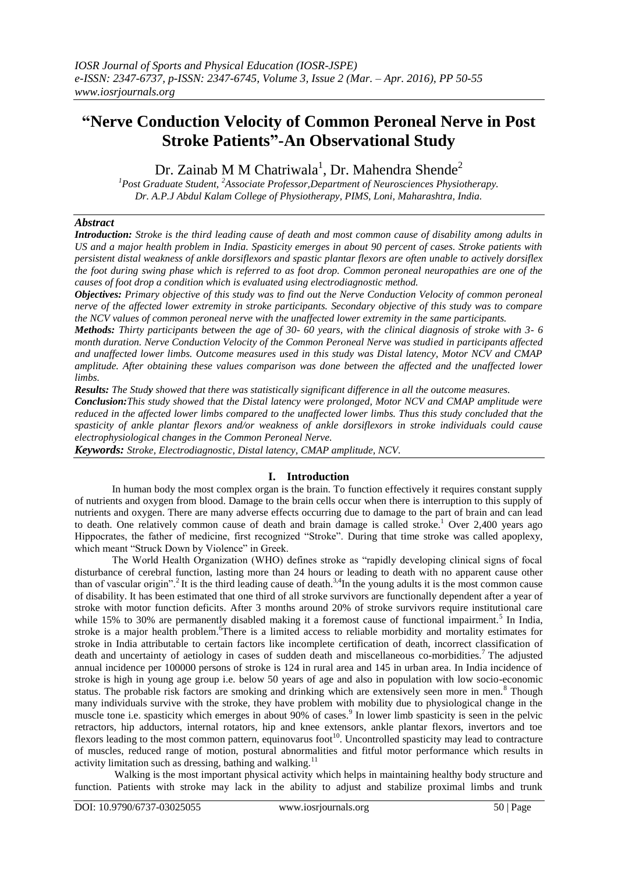# **"Nerve Conduction Velocity of Common Peroneal Nerve in Post Stroke Patients"-An Observational Study**

Dr. Zainab M M Chatriwala<sup>1</sup>, Dr. Mahendra Shende<sup>2</sup>

*<sup>1</sup>Post Graduate Student, <sup>2</sup>Associate Professor,Department of Neurosciences Physiotherapy. Dr. A.P.J Abdul Kalam College of Physiotherapy, PIMS, Loni, Maharashtra, India.*

# *Abstract*

*Introduction: Stroke is the third leading cause of death and most common cause of disability among adults in US and a major health problem in India. Spasticity emerges in about 90 percent of cases. Stroke patients with persistent distal weakness of ankle dorsiflexors and spastic plantar flexors are often unable to actively dorsiflex the foot during swing phase which is referred to as foot drop. Common peroneal neuropathies are one of the causes of foot drop a condition which is evaluated using electrodiagnostic method.* 

*Objectives: Primary objective of this study was to find out the Nerve Conduction Velocity of common peroneal nerve of the affected lower extremity in stroke participants. Secondary objective of this study was to compare the NCV values of common peroneal nerve with the unaffected lower extremity in the same participants.*

*Methods: Thirty participants between the age of 30- 60 years, with the clinical diagnosis of stroke with 3- 6 month duration. Nerve Conduction Velocity of the Common Peroneal Nerve was studied in participants affected and unaffected lower limbs. Outcome measures used in this study was Distal latency, Motor NCV and CMAP amplitude. After obtaining these values comparison was done between the affected and the unaffected lower limbs.*

*Results: The Study showed that there was statistically significant difference in all the outcome measures.* 

*Conclusion:This study showed that the Distal latency were prolonged, Motor NCV and CMAP amplitude were reduced in the affected lower limbs compared to the unaffected lower limbs. Thus this study concluded that the spasticity of ankle plantar flexors and/or weakness of ankle dorsiflexors in stroke individuals could cause electrophysiological changes in the Common Peroneal Nerve.*

*Keywords: Stroke, Electrodiagnostic, Distal latency, CMAP amplitude, NCV.*

## **I. Introduction**

In human body the most complex organ is the brain. To function effectively it requires constant supply of nutrients and oxygen from blood. Damage to the brain cells occur when there is interruption to this supply of nutrients and oxygen. There are many adverse effects occurring due to damage to the part of brain and can lead to death. One relatively common cause of death and brain damage is called stroke.<sup>1</sup> Over 2,400 years ago Hippocrates, the father of medicine, first recognized "Stroke". During that time stroke was called apoplexy, which meant "Struck Down by Violence" in Greek.

The World Health Organization (WHO) defines stroke as "rapidly developing clinical signs of focal disturbance of cerebral function, lasting more than 24 hours or leading to death with no apparent cause other than of vascular origin".<sup>2</sup> It is the third leading cause of death.<sup>3,4</sup>In the young adults it is the most common cause of disability. It has been estimated that one third of all stroke survivors are functionally dependent after a year of stroke with motor function deficits. After 3 months around 20% of stroke survivors require institutional care while 15% to 30% are permanently disabled making it a foremost cause of functional impairment.<sup>5</sup> In India, stroke is a major health problem.<sup>6</sup>There is a limited access to reliable morbidity and mortality estimates for stroke in India attributable to certain factors like incomplete certification of death, incorrect classification of death and uncertainty of aetiology in cases of sudden death and miscellaneous co-morbidities.<sup>7</sup>The adjusted annual incidence per 100000 persons of stroke is 124 in rural area and 145 in urban area. In India incidence of stroke is high in young age group i.e. below 50 years of age and also in population with low socio-economic status. The probable risk factors are smoking and drinking which are extensively seen more in men.<sup>8</sup> Though many individuals survive with the stroke, they have problem with mobility due to physiological change in the muscle tone i.e. spasticity which emerges in about 90% of cases.<sup>9</sup> In lower limb spasticity is seen in the pelvic retractors, hip adductors, internal rotators, hip and knee extensors, ankle plantar flexors, invertors and toe flexors leading to the most common pattern, equinovarus foot<sup>10</sup>. Uncontrolled spasticity may lead to contracture of muscles, reduced range of motion, postural abnormalities and fitful motor performance which results in activity limitation such as dressing, bathing and walking.<sup>11</sup>

Walking is the most important physical activity which helps in maintaining healthy body structure and function. Patients with stroke may lack in the ability to adjust and stabilize proximal limbs and trunk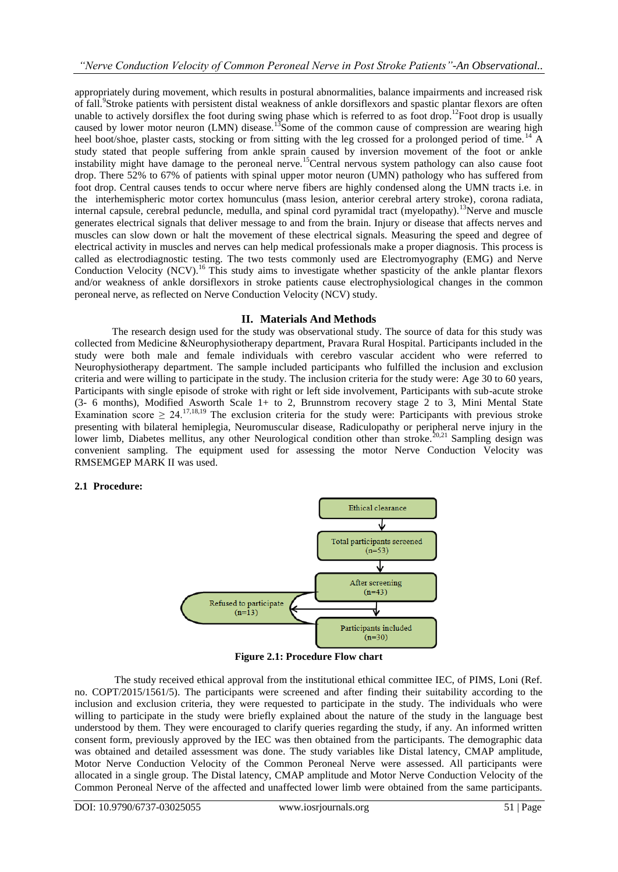appropriately during movement, which results in postural abnormalities, balance impairments and increased risk of fall.<sup>9</sup>Stroke patients with persistent distal weakness of ankle dorsiflexors and spastic plantar flexors are often unable to actively dorsiflex the foot during swing phase which is referred to as foot drop.<sup>12</sup>Foot drop is usually caused by lower motor neuron (LMN) disease.<sup>13</sup>Some of the common cause of compression are wearing high heel boot/shoe, plaster casts, stocking or from sitting with the leg crossed for a prolonged period of time.<sup>14</sup> A study stated that people suffering from ankle sprain caused by inversion movement of the foot or ankle instability might have damage to the peroneal nerve.<sup>15</sup>Central nervous system pathology can also cause foot drop. There 52% to 67% of patients with spinal upper motor neuron (UMN) pathology who has suffered from foot drop. Central causes tends to occur where nerve fibers are highly condensed along the UMN tracts i.e. in the interhemispheric motor cortex homunculus (mass lesion, anterior cerebral artery stroke), corona radiata, internal capsule, cerebral peduncle, medulla, and spinal cord pyramidal tract (myelopathy).<sup>13</sup>Nerve and muscle generates electrical signals that deliver message to and from the brain. Injury or disease that affects nerves and muscles can slow down or halt the movement of these electrical signals. Measuring the speed and degree of electrical activity in muscles and nerves can help medical professionals make a proper diagnosis. This process is called as electrodiagnostic testing. The two tests commonly used are Electromyography (EMG) and Nerve Conduction Velocity  $(NCV)$ .<sup>16</sup> This study aims to investigate whether spasticity of the ankle plantar flexors and/or weakness of ankle dorsiflexors in stroke patients cause electrophysiological changes in the common peroneal nerve, as reflected on Nerve Conduction Velocity (NCV) study.

## **II. Materials And Methods**

The research design used for the study was observational study. The source of data for this study was collected from Medicine &Neurophysiotherapy department, Pravara Rural Hospital. Participants included in the study were both male and female individuals with cerebro vascular accident who were referred to Neurophysiotherapy department. The sample included participants who fulfilled the inclusion and exclusion criteria and were willing to participate in the study. The inclusion criteria for the study were: Age 30 to 60 years, Participants with single episode of stroke with right or left side involvement, Participants with sub-acute stroke (3- 6 months), Modified Asworth Scale 1+ to 2, Brunnstrom recovery stage 2 to 3, Mini Mental State Examination score  $\geq 24$ .<sup>17,18,19</sup> The exclusion criteria for the study were: Participants with previous stroke presenting with bilateral hemiplegia, Neuromuscular disease, Radiculopathy or peripheral nerve injury in the lower limb, Diabetes mellitus, any other Neurological condition other than stroke.<sup>20,21</sup> Sampling design was convenient sampling. The equipment used for assessing the motor Nerve Conduction Velocity was RMSEMGEP MARK II was used.

## **2.1 Procedure:**



**Figure 2.1: Procedure Flow chart**

The study received ethical approval from the institutional ethical committee IEC, of PIMS, Loni (Ref. no. COPT/2015/1561/5). The participants were screened and after finding their suitability according to the inclusion and exclusion criteria, they were requested to participate in the study. The individuals who were willing to participate in the study were briefly explained about the nature of the study in the language best understood by them. They were encouraged to clarify queries regarding the study, if any. An informed written consent form, previously approved by the IEC was then obtained from the participants. The demographic data was obtained and detailed assessment was done. The study variables like Distal latency, CMAP amplitude, Motor Nerve Conduction Velocity of the Common Peroneal Nerve were assessed. All participants were allocated in a single group. The Distal latency, CMAP amplitude and Motor Nerve Conduction Velocity of the Common Peroneal Nerve of the affected and unaffected lower limb were obtained from the same participants.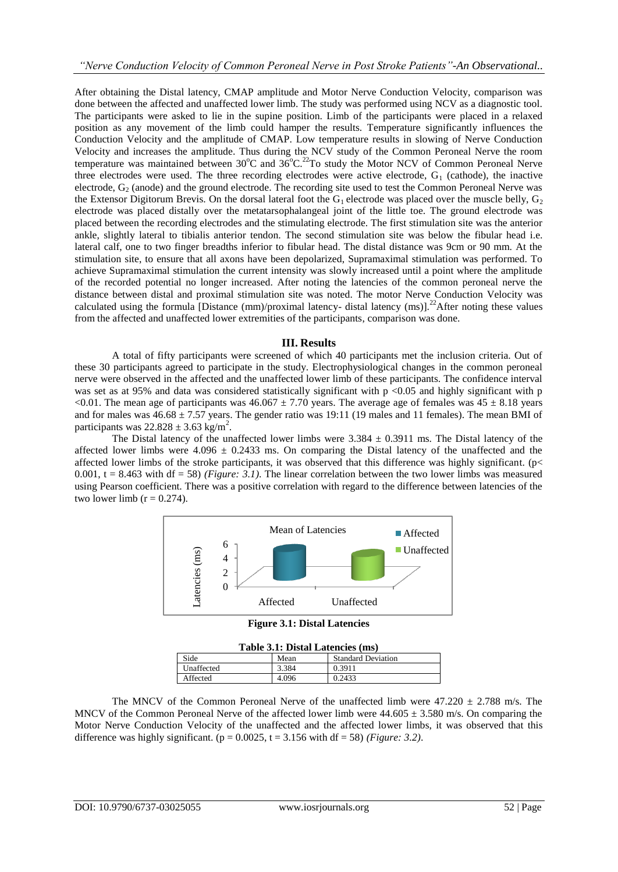After obtaining the Distal latency, CMAP amplitude and Motor Nerve Conduction Velocity, comparison was done between the affected and unaffected lower limb. The study was performed using NCV as a diagnostic tool. The participants were asked to lie in the supine position. Limb of the participants were placed in a relaxed position as any movement of the limb could hamper the results. Temperature significantly influences the Conduction Velocity and the amplitude of CMAP. Low temperature results in slowing of Nerve Conduction Velocity and increases the amplitude. Thus during the NCV study of the Common Peroneal Nerve the room temperature was maintained between  $30^{\circ}$ C and  $36^{\circ}$ C.<sup>22</sup>To study the Motor NCV of Common Peroneal Nerve three electrodes were used. The three recording electrodes were active electrode,  $G_1$  (cathode), the inactive electrode, G<sub>2</sub> (anode) and the ground electrode. The recording site used to test the Common Peroneal Nerve was the Extensor Digitorum Brevis. On the dorsal lateral foot the  $G_1$  electrode was placed over the muscle belly,  $G_2$ electrode was placed distally over the metatarsophalangeal joint of the little toe. The ground electrode was placed between the recording electrodes and the stimulating electrode. The first stimulation site was the anterior ankle, slightly lateral to tibialis anterior tendon. The second stimulation site was below the fibular head i.e. lateral calf, one to two finger breadths inferior to fibular head. The distal distance was 9cm or 90 mm. At the stimulation site, to ensure that all axons have been depolarized, Supramaximal stimulation was performed. To achieve Supramaximal stimulation the current intensity was slowly increased until a point where the amplitude of the recorded potential no longer increased. After noting the latencies of the common peroneal nerve the distance between distal and proximal stimulation site was noted. The motor Nerve Conduction Velocity was calculated using the formula Distance (mm)/proximal latency- distal latency (ms)].<sup>22</sup>After noting these values from the affected and unaffected lower extremities of the participants, comparison was done.

## **III. Results**

A total of fifty participants were screened of which 40 participants met the inclusion criteria. Out of these 30 participants agreed to participate in the study. Electrophysiological changes in the common peroneal nerve were observed in the affected and the unaffected lower limb of these participants. The confidence interval was set as at 95% and data was considered statistically significant with  $p < 0.05$  and highly significant with p <0.01. The mean age of participants was  $46.067 \pm 7.70$  years. The average age of females was  $45 \pm 8.18$  years and for males was  $46.68 \pm 7.57$  years. The gender ratio was 19:11 (19 males and 11 females). The mean BMI of participants was  $22.828 \pm 3.63$  kg/m<sup>2</sup>.

The Distal latency of the unaffected lower limbs were  $3.384 \pm 0.3911$  ms. The Distal latency of the affected lower limbs were  $4.096 \pm 0.2433$  ms. On comparing the Distal latency of the unaffected and the affected lower limbs of the stroke participants, it was observed that this difference was highly significant. ( $p$ < 0.001,  $t = 8.463$  with df = 58) *(Figure: 3.1)*. The linear correlation between the two lower limbs was measured using Pearson coefficient. There was a positive correlation with regard to the difference between latencies of the two lower limb  $(r = 0.274)$ .



**Figure 3.1: Distal Latencies**

| Table 3.1: Distal Latencies (ms) |       |                           |
|----------------------------------|-------|---------------------------|
| Side                             | Mean  | <b>Standard Deviation</b> |
| Unaffected                       | 3.384 | 0.3911                    |
| Affected                         | 4.096 | 0.2433                    |

The MNCV of the Common Peroneal Nerve of the unaffected limb were  $47.220 \pm 2.788$  m/s. The MNCV of the Common Peroneal Nerve of the affected lower limb were  $44.605 \pm 3.580$  m/s. On comparing the Motor Nerve Conduction Velocity of the unaffected and the affected lower limbs, it was observed that this difference was highly significant. ( $p = 0.0025$ ,  $t = 3.156$  with df = 58) *(Figure: 3.2)*.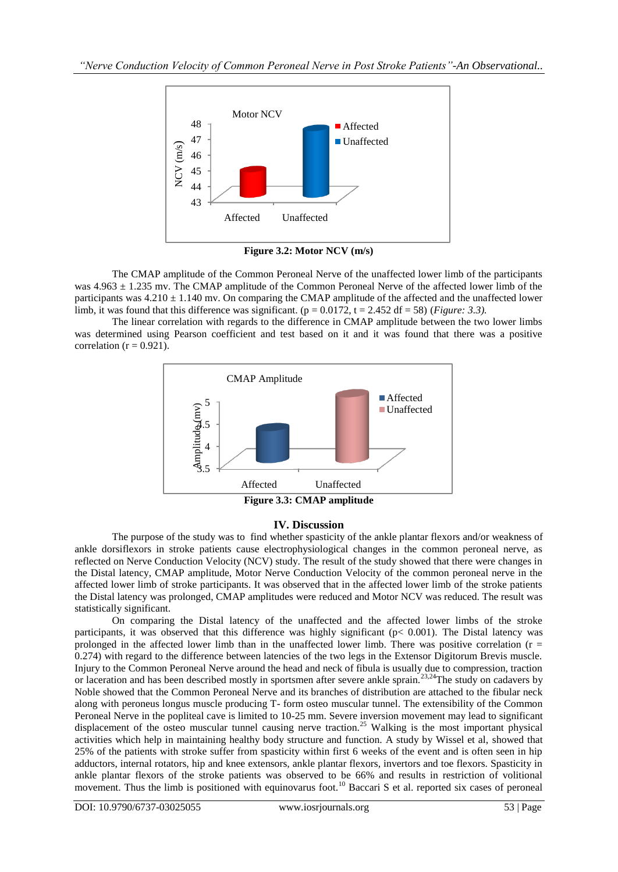

**Figure 3.2: Motor NCV (m/s)**

The CMAP amplitude of the Common Peroneal Nerve of the unaffected lower limb of the participants was  $4.963 \pm 1.235$  mv. The CMAP amplitude of the Common Peroneal Nerve of the affected lower limb of the participants was  $4.210 \pm 1.140$  mv. On comparing the CMAP amplitude of the affected and the unaffected lower limb, it was found that this difference was significant. ( $p = 0.0172$ ,  $t = 2.452$  df = 58) (*Figure: 3.3*).

The linear correlation with regards to the difference in CMAP amplitude between the two lower limbs was determined using Pearson coefficient and test based on it and it was found that there was a positive correlation ( $r = 0.921$ ).



# **IV. Discussion**

The purpose of the study was to find whether spasticity of the ankle plantar flexors and/or weakness of ankle dorsiflexors in stroke patients cause electrophysiological changes in the common peroneal nerve, as reflected on Nerve Conduction Velocity (NCV) study. The result of the study showed that there were changes in the Distal latency, CMAP amplitude, Motor Nerve Conduction Velocity of the common peroneal nerve in the affected lower limb of stroke participants. It was observed that in the affected lower limb of the stroke patients the Distal latency was prolonged, CMAP amplitudes were reduced and Motor NCV was reduced. The result was statistically significant.

On comparing the Distal latency of the unaffected and the affected lower limbs of the stroke participants, it was observed that this difference was highly significant (p< 0.001). The Distal latency was prolonged in the affected lower limb than in the unaffected lower limb. There was positive correlation ( $r =$ 0.274) with regard to the difference between latencies of the two legs in the Extensor Digitorum Brevis muscle. Injury to the Common Peroneal Nerve around the head and neck of fibula is usually due to compression, traction or laceration and has been described mostly in sportsmen after severe ankle sprain.<sup>23,24</sup>The study on cadavers by Noble showed that the Common Peroneal Nerve and its branches of distribution are attached to the fibular neck along with peroneus longus muscle producing T- form osteo muscular tunnel. The extensibility of the Common Peroneal Nerve in the popliteal cave is limited to 10-25 mm. Severe inversion movement may lead to significant displacement of the osteo muscular tunnel causing nerve traction.<sup>25</sup> Walking is the most important physical activities which help in maintaining healthy body structure and function. A study by Wissel et al, showed that 25% of the patients with stroke suffer from spasticity within first 6 weeks of the event and is often seen in hip adductors, internal rotators, hip and knee extensors, ankle plantar flexors, invertors and toe flexors. Spasticity in ankle plantar flexors of the stroke patients was observed to be 66% and results in restriction of volitional movement. Thus the limb is positioned with equinovarus foot.<sup>10</sup> Baccari S et al. reported six cases of peroneal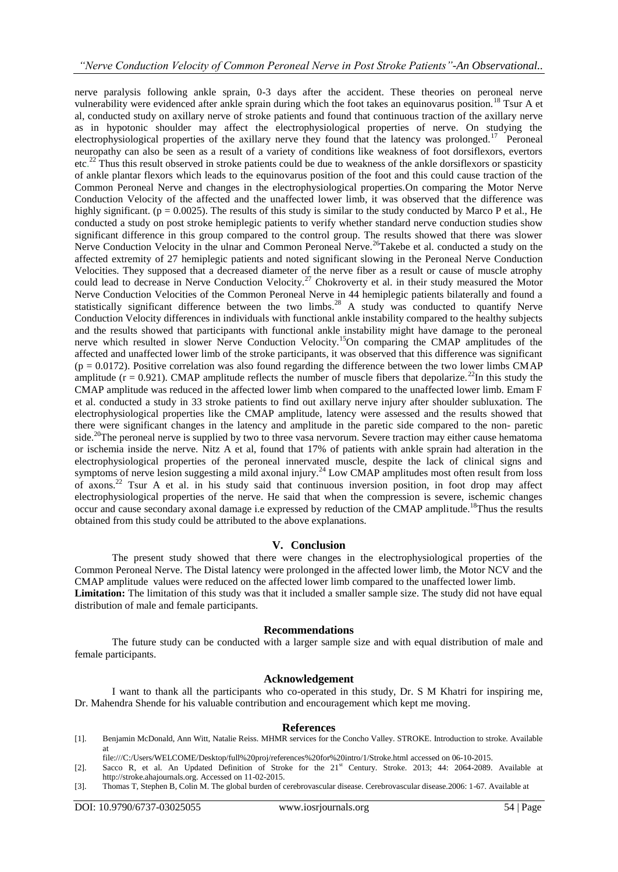nerve paralysis following ankle sprain, 0-3 days after the accident. These theories on peroneal nerve vulnerability were evidenced after ankle sprain during which the foot takes an equinovarus position.<sup>18</sup> Tsur A et al, conducted study on axillary nerve of stroke patients and found that continuous traction of the axillary nerve as in hypotonic shoulder may affect the electrophysiological properties of nerve. On studying the electrophysiological properties of the axillary nerve they found that the latency was prolonged.<sup>17</sup> Peroneal neuropathy can also be seen as a result of a variety of conditions like weakness of foot dorsiflexors, evertors etc.<sup>22</sup> Thus this result observed in stroke patients could be due to weakness of the ankle dorsiflexors or spasticity of ankle plantar flexors which leads to the equinovarus position of the foot and this could cause traction of the Common Peroneal Nerve and changes in the electrophysiological properties.On comparing the Motor Nerve Conduction Velocity of the affected and the unaffected lower limb, it was observed that the difference was highly significant. ( $p = 0.0025$ ). The results of this study is similar to the study conducted by Marco P et al., He conducted a study on post stroke hemiplegic patients to verify whether standard nerve conduction studies show significant difference in this group compared to the control group. The results showed that there was slower Nerve Conduction Velocity in the ulnar and Common Peroneal Nerve.<sup>26</sup>Takebe et al. conducted a study on the affected extremity of 27 hemiplegic patients and noted significant slowing in the Peroneal Nerve Conduction Velocities. They supposed that a decreased diameter of the nerve fiber as a result or cause of muscle atrophy could lead to decrease in Nerve Conduction Velocity.<sup>27</sup> Chokroverty et al. in their study measured the Motor Nerve Conduction Velocities of the Common Peroneal Nerve in 44 hemiplegic patients bilaterally and found a statistically significant difference between the two limbs.<sup>28</sup> A study was conducted to quantify Nerve Conduction Velocity differences in individuals with functional ankle instability compared to the healthy subjects and the results showed that participants with functional ankle instability might have damage to the peroneal nerve which resulted in slower Nerve Conduction Velocity.<sup>15</sup>On comparing the CMAP amplitudes of the affected and unaffected lower limb of the stroke participants, it was observed that this difference was significant  $(p = 0.0172)$ . Positive correlation was also found regarding the difference between the two lower limbs CMAP amplitude ( $r = 0.921$ ). CMAP amplitude reflects the number of muscle fibers that depolarize.<sup>22</sup>In this study the CMAP amplitude was reduced in the affected lower limb when compared to the unaffected lower limb. Emam F et al. conducted a study in 33 stroke patients to find out axillary nerve injury after shoulder subluxation. The electrophysiological properties like the CMAP amplitude, latency were assessed and the results showed that there were significant changes in the latency and amplitude in the paretic side compared to the non- paretic side.<sup>20</sup>The peroneal nerve is supplied by two to three vasa nervorum. Severe traction may either cause hematoma or ischemia inside the nerve. Nitz A et al, found that 17% of patients with ankle sprain had alteration in the electrophysiological properties of the peroneal innervated muscle, despite the lack of clinical signs and symptoms of nerve lesion suggesting a mild axonal injury.<sup>24</sup> Low CMAP amplitudes most often result from loss of axons.<sup>22</sup> Tsur A et al. in his study said that continuous inversion position, in foot drop may affect electrophysiological properties of the nerve. He said that when the compression is severe, ischemic changes occur and cause secondary axonal damage i.e expressed by reduction of the CMAP amplitude.<sup>18</sup>Thus the results obtained from this study could be attributed to the above explanations.

## **V. Conclusion**

The present study showed that there were changes in the electrophysiological properties of the Common Peroneal Nerve. The Distal latency were prolonged in the affected lower limb, the Motor NCV and the CMAP amplitude values were reduced on the affected lower limb compared to the unaffected lower limb. **Limitation:** The limitation of this study was that it included a smaller sample size. The study did not have equal distribution of male and female participants.

#### **Recommendations**

The future study can be conducted with a larger sample size and with equal distribution of male and female participants.

## **Acknowledgement**

I want to thank all the participants who co-operated in this study, Dr. S M Khatri for inspiring me, Dr. Mahendra Shende for his valuable contribution and encouragement which kept me moving.

#### **References**

- [1]. Benjamin McDonald, Ann Witt, Natalie Reiss. MHMR services for the Concho Valley. STROKE. Introduction to stroke. Available at
- [file:///C:/Users/WELCOME/Desktop/full%20proj/references%20for%20intro/1/Stroke.html](file:///C:\Users\WELCOME\Desktop\full%20proj\references%20for%20intro\1\Stroke.html) accessed on 06-10-2015.
- [2]. Sacco R, et al. An Updated Definition of Stroke for the 21<sup>st</sup> Century. Stroke. 2013; 44: 2064-2089. Available at [http://stroke.ahajournals.org.](http://stroke.ahajournals.org/) Accessed on 11-02-2015.
- [3]. Thomas T, Stephen B, Colin M. The global burden of cerebrovascular disease. Cerebrovascular disease.2006: 1-67. Available at